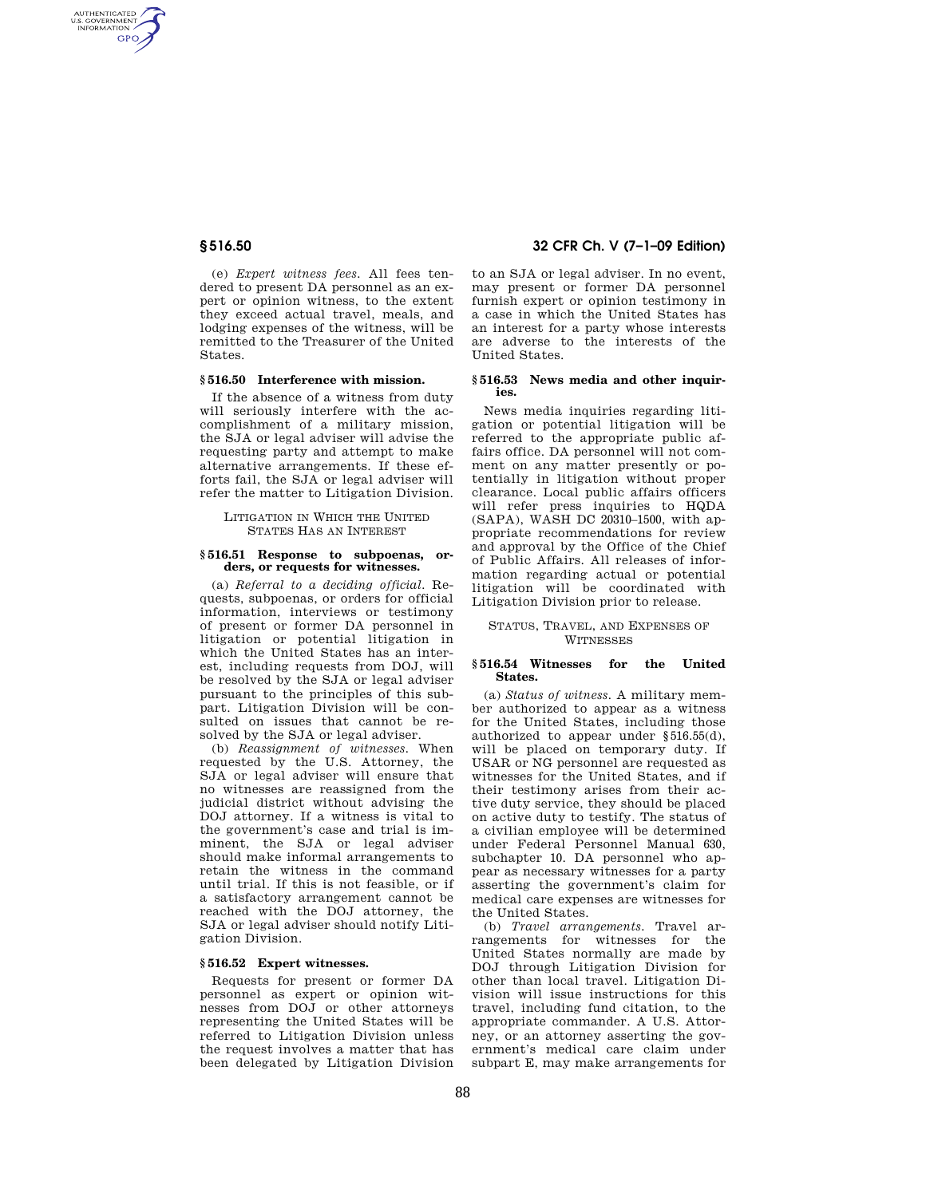AUTHENTICATED<br>U.S. GOVERNMENT<br>INFORMATION **GPO** 

> (e) *Expert witness fees.* All fees tendered to present DA personnel as an expert or opinion witness, to the extent they exceed actual travel, meals, and lodging expenses of the witness, will be remitted to the Treasurer of the United States.

## **§ 516.50 Interference with mission.**

If the absence of a witness from duty will seriously interfere with the accomplishment of a military mission, the SJA or legal adviser will advise the requesting party and attempt to make alternative arrangements. If these efforts fail, the SJA or legal adviser will refer the matter to Litigation Division.

LITIGATION IN WHICH THE UNITED STATES HAS AN INTEREST

#### **§ 516.51 Response to subpoenas, orders, or requests for witnesses.**

(a) *Referral to a deciding official.* Requests, subpoenas, or orders for official information, interviews or testimony of present or former DA personnel in litigation or potential litigation in which the United States has an interest, including requests from DOJ, will be resolved by the SJA or legal adviser pursuant to the principles of this subpart. Litigation Division will be consulted on issues that cannot be resolved by the SJA or legal adviser.

(b) *Reassignment of witnesses.* When requested by the U.S. Attorney, the SJA or legal adviser will ensure that no witnesses are reassigned from the judicial district without advising the DOJ attorney. If a witness is vital to the government's case and trial is imminent, the SJA or legal adviser should make informal arrangements to retain the witness in the command until trial. If this is not feasible, or if a satisfactory arrangement cannot be reached with the DOJ attorney, the SJA or legal adviser should notify Litigation Division.

## **§ 516.52 Expert witnesses.**

Requests for present or former DA personnel as expert or opinion witnesses from DOJ or other attorneys representing the United States will be referred to Litigation Division unless the request involves a matter that has been delegated by Litigation Division

# **§ 516.50 32 CFR Ch. V (7–1–09 Edition)**

to an SJA or legal adviser. In no event, may present or former DA personnel furnish expert or opinion testimony in a case in which the United States has an interest for a party whose interests are adverse to the interests of the United States.

#### **§ 516.53 News media and other inquiries.**

News media inquiries regarding litigation or potential litigation will be referred to the appropriate public affairs office. DA personnel will not comment on any matter presently or potentially in litigation without proper clearance. Local public affairs officers will refer press inquiries to HQDA (SAPA), WASH DC 20310–1500, with appropriate recommendations for review and approval by the Office of the Chief of Public Affairs. All releases of information regarding actual or potential litigation will be coordinated with Litigation Division prior to release.

## STATUS, TRAVEL, AND EXPENSES OF **WITNESSES**

## **§ 516.54 Witnesses for the United States.**

(a) *Status of witness.* A military member authorized to appear as a witness for the United States, including those authorized to appear under §516.55(d), will be placed on temporary duty. If USAR or NG personnel are requested as witnesses for the United States, and if their testimony arises from their active duty service, they should be placed on active duty to testify. The status of a civilian employee will be determined under Federal Personnel Manual 630, subchapter 10. DA personnel who appear as necessary witnesses for a party asserting the government's claim for medical care expenses are witnesses for the United States.

(b) *Travel arrangements.* Travel arrangements for witnesses for the United States normally are made by DOJ through Litigation Division for other than local travel. Litigation Division will issue instructions for this travel, including fund citation, to the appropriate commander. A U.S. Attorney, or an attorney asserting the government's medical care claim under subpart E, may make arrangements for